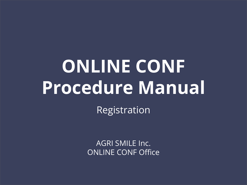# **ONLINE CONF Procedure Manual**

Registration

AGRI SMILE Inc. ONLINE CONF Office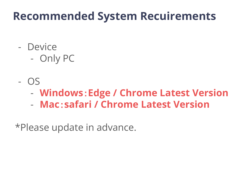#### **Recommended System Recuirements**

- Device
	- Only PC
- OS
	- **Windows**:**Edge / Chrome Latest Version**
	- **Mac**:**safari / Chrome Latest Version**

\*Please update in advance.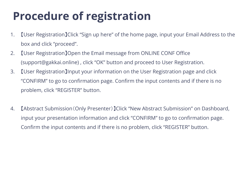# **Procedure of registration**

- 1. 【User Registration】Click "Sign up here" of the home page, input your Email Address to the box and click "proceed".
- 2. 【User Registration】Open the Email message from ONLINE CONF Office (support@gakkai.online) , click "OK" button and proceed to User Registration.
- 3. 【User Registration】Input your information on the User Registration page and click "CONFIRM" to go to confirmation page. Confirm the input contents and if there is no problem, click "REGISTER" button.
- 4. 【Abstract Submission(Only Presenter)】Click "New Abstract Submission" on Dashboard, input your presentation information and click "CONFIRM" to go to confirmation page. Confirm the input contents and if there is no problem, click "REGISTER" button.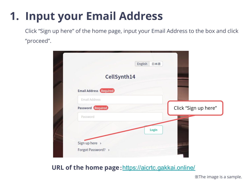### **1. Input your Email Address**

Click "Sign up here" of the home page, input your Email Address to the box and click "proceed".



#### **URL of the home page: [https://aicrtc.gakkai.online/](https://aicrtc.gakkai.online)**

※The image is a sample.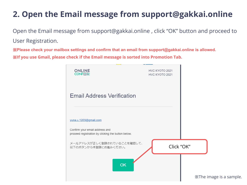#### **2. Open the Email message from support@gakkai.online**

Open the Email message from support@gakkai.online , click "OK" button and proceed to User Registration.

※**Please check your mailbox settings and confirm that an email from support@gakkai.online is allowed.** ※**If you use Gmail, please check if the Email message is sorted into Promotion Tab.**

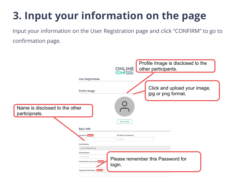Input your information on the User Registration page and click "CONFIRM" to go to confirmation page.

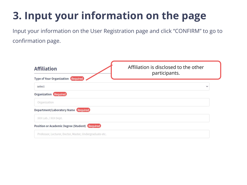Input your information on the User Registration page and click "CONFIRM" to go to confirmation page.

| <b>Affiliation</b>                                      | Affiliation is disclosed to the other<br>participants. |
|---------------------------------------------------------|--------------------------------------------------------|
| <b>Type of Your Organization Required</b>               |                                                        |
| select                                                  | $\check{ }$                                            |
| <b>Organization Required</b>                            |                                                        |
| Organization                                            |                                                        |
| Department/Laboratory Name Required                     |                                                        |
| XXX Lab. / XXX Dept.                                    |                                                        |
| <b>Position or Academic Degree (Student) Required</b>   |                                                        |
| Professor, Lecturer, Doctor, Master, Undergraduate etc. |                                                        |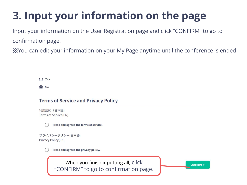Input your information on the User Registration page and click "CONFIRM" to go to confirmation page.

※You can edit your information on your My Page anytime until the conference is ended

 $()$  Yes

 $\odot$  No

#### **Terms of Service and Privacy Policy**

利用規約 (日本語) Terms of Service(EN)

I read and agreed the terms of service.

プライバシーポリシー(日本語) **Privacy Policy(EN)** 

I read and agreed the privacy policy.

When you finish inputting all, click "CONFIRM" to go to confirmation page.

 $CONFIRM >$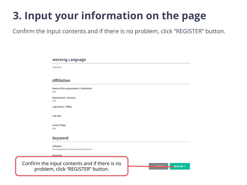Confirm the input contents and if there is no problem, click "REGISTER" button.

#### **WOrking Language**

Japanese

#### **Affiliation**

Name of the organization / institution test

**Department / Division** test

Laboratory / Office

**Lab URL** 

**Career Stage** test

#### **Keyword**

Category Hematopoiesis and Immune Environment

Keyword

Confirm the input contents and if there is no problem, click "REGISTER" button.

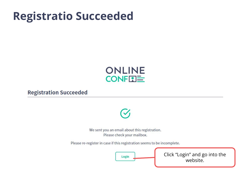#### **Registratio Succeeded**



#### **Registration Succeeded**



We sent you an email about this registration. Please check your mailbox.

Please re-register in case if this registration seems to be incomplete.



Click "Login" and go into the website.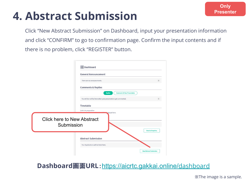## **4. Abstract Submission**

Click "New Abstract Submission" on Dashboard, input your presentation information and click "CONFIRM" to go to confirmation page. Confirm the input contents and if there is no problem, click "REGISTER" button.

|                                                 | <b>品</b> Dashboard                                               |                                |
|-------------------------------------------------|------------------------------------------------------------------|--------------------------------|
|                                                 | <b>General Announcement</b>                                      |                                |
|                                                 | There are no announcements.                                      |                                |
|                                                 | <b>Comments &amp; Replies</b>                                    |                                |
|                                                 | <b>Comments To Your Presentation</b><br><b>Replies</b>           |                                |
|                                                 | You will be notified here when your presentations get commented. |                                |
|                                                 | Timetable                                                        |                                |
| <b>Click here to New Abstract</b><br>Submission | Link is in preparation<br>splayed here.                          | <b>Check all inquiries.</b>    |
|                                                 | <b>Abstract Submission</b>                                       |                                |
|                                                 | Your Applications will be listed here.                           |                                |
|                                                 |                                                                  | <b>New Abstract Submission</b> |

#### **Dashboard**画面**URL**:[https://aicrtc.gakkai.online/](https://aicrtc.gakkai.online/dashboard)dashboard

※The image is a sample.

**Only Presenter**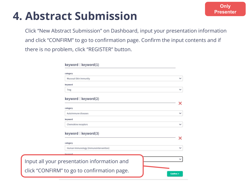### **Presenter 4. Abstract Submission**

Click "New Abstract Submission" on Dashboard, input your presentation information and click "CONFIRM" to go to confirmation page. Confirm the input contents and if there is no problem, click "REGISTER" button.

**Only** 

| keyword   keyword(1)                        |              |  |  |  |
|---------------------------------------------|--------------|--|--|--|
| category                                    |              |  |  |  |
| Mucosal-Skin Immunity                       | $\check{ }$  |  |  |  |
| keyword                                     |              |  |  |  |
| Treg                                        | $\checkmark$ |  |  |  |
| keyword   keyword(2)                        | ×            |  |  |  |
| category                                    |              |  |  |  |
| Autoimmune diseases                         | $\checkmark$ |  |  |  |
| keyword                                     |              |  |  |  |
| Chemokine receptors                         | $\checkmark$ |  |  |  |
| keyword   keyword(3)                        | ×            |  |  |  |
| category                                    |              |  |  |  |
| Human Immunology (Immunointervention)       | $\check{ }$  |  |  |  |
| keyword                                     |              |  |  |  |
| Input all your presentation information and | $\checkmark$ |  |  |  |
| click "CONFIRM" to go to confirmation page. | Confirm >    |  |  |  |